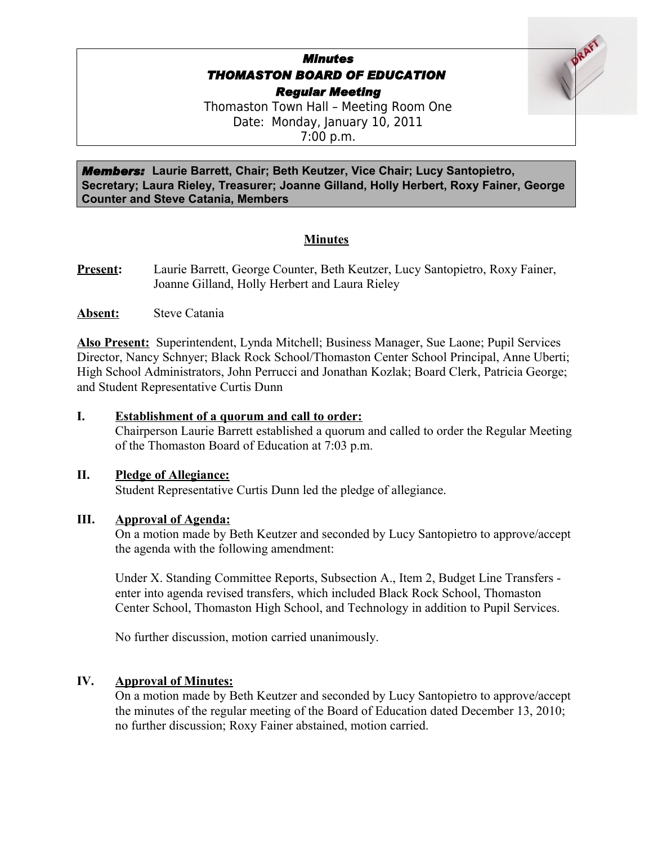## *Minutes THOMASTON BOARD OF EDUCATION Regular Meeting*

Thomaston Town Hall – Meeting Room One Date: Monday, January 10, 2011 7:00 p.m.

*Members:* **Laurie Barrett, Chair; Beth Keutzer, Vice Chair; Lucy Santopietro, Secretary; Laura Rieley, Treasurer; Joanne Gilland, Holly Herbert, Roxy Fainer, George Counter and Steve Catania, Members**

## **Minutes**

**Present:** Laurie Barrett, George Counter, Beth Keutzer, Lucy Santopietro, Roxy Fainer, Joanne Gilland, Holly Herbert and Laura Rieley

#### **Absent:** Steve Catania

**Also Present:** Superintendent, Lynda Mitchell; Business Manager, Sue Laone; Pupil Services Director, Nancy Schnyer; Black Rock School/Thomaston Center School Principal, Anne Uberti; High School Administrators, John Perrucci and Jonathan Kozlak; Board Clerk, Patricia George; and Student Representative Curtis Dunn

#### **I. Establishment of a quorum and call to order:**

Chairperson Laurie Barrett established a quorum and called to order the Regular Meeting of the Thomaston Board of Education at 7:03 p.m.

#### **II. Pledge of Allegiance:**

Student Representative Curtis Dunn led the pledge of allegiance.

#### **III. Approval of Agenda:**

On a motion made by Beth Keutzer and seconded by Lucy Santopietro to approve/accept the agenda with the following amendment:

Under X. Standing Committee Reports, Subsection A., Item 2, Budget Line Transfers enter into agenda revised transfers, which included Black Rock School, Thomaston Center School, Thomaston High School, and Technology in addition to Pupil Services.

No further discussion, motion carried unanimously.

## **IV. Approval of Minutes:**

On a motion made by Beth Keutzer and seconded by Lucy Santopietro to approve/accept the minutes of the regular meeting of the Board of Education dated December 13, 2010; no further discussion; Roxy Fainer abstained, motion carried.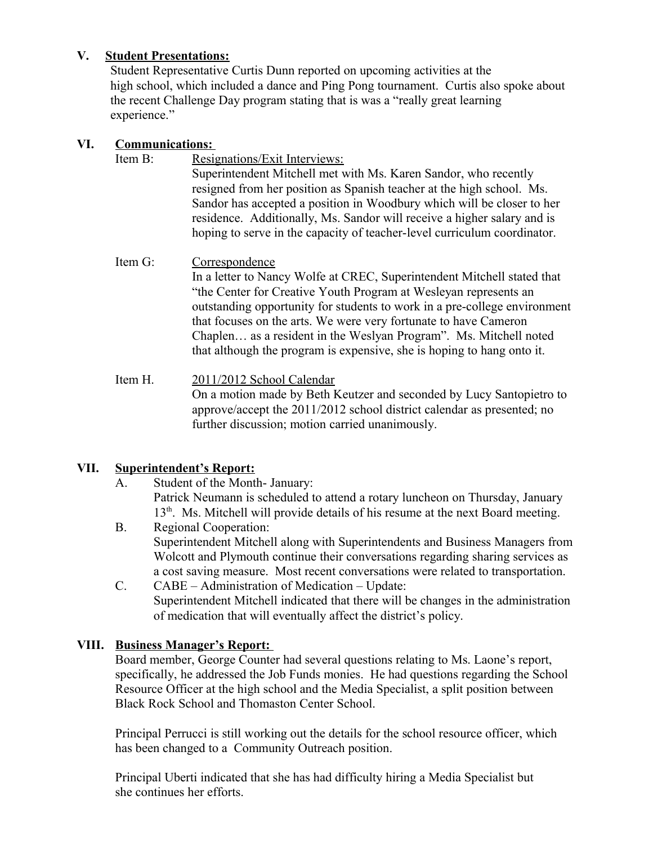## **V. Student Presentations:**

Student Representative Curtis Dunn reported on upcoming activities at the high school, which included a dance and Ping Pong tournament. Curtis also spoke about the recent Challenge Day program stating that is was a "really great learning experience."

## **VI. Communications:**

Item B: Resignations/Exit Interviews:

Superintendent Mitchell met with Ms. Karen Sandor, who recently resigned from her position as Spanish teacher at the high school. Ms. Sandor has accepted a position in Woodbury which will be closer to her residence. Additionally, Ms. Sandor will receive a higher salary and is hoping to serve in the capacity of teacher-level curriculum coordinator.

Item G: Correspondence In a letter to Nancy Wolfe at CREC, Superintendent Mitchell stated that "the Center for Creative Youth Program at Wesleyan represents an outstanding opportunity for students to work in a pre-college environment that focuses on the arts. We were very fortunate to have Cameron Chaplen… as a resident in the Weslyan Program". Ms. Mitchell noted that although the program is expensive, she is hoping to hang onto it.

#### Item H. 2011/2012 School Calendar On a motion made by Beth Keutzer and seconded by Lucy Santopietro to approve/accept the 2011/2012 school district calendar as presented; no further discussion; motion carried unanimously.

# **VII. Superintendent's Report:**

- A. Student of the Month- January: Patrick Neumann is scheduled to attend a rotary luncheon on Thursday, January  $13<sup>th</sup>$ . Ms. Mitchell will provide details of his resume at the next Board meeting.
- B. Regional Cooperation: Superintendent Mitchell along with Superintendents and Business Managers from Wolcott and Plymouth continue their conversations regarding sharing services as a cost saving measure. Most recent conversations were related to transportation.
- C. CABE Administration of Medication Update: Superintendent Mitchell indicated that there will be changes in the administration of medication that will eventually affect the district's policy.

# **VIII. Business Manager's Report:**

Board member, George Counter had several questions relating to Ms. Laone's report, specifically, he addressed the Job Funds monies. He had questions regarding the School Resource Officer at the high school and the Media Specialist, a split position between Black Rock School and Thomaston Center School.

Principal Perrucci is still working out the details for the school resource officer, which has been changed to a Community Outreach position.

Principal Uberti indicated that she has had difficulty hiring a Media Specialist but she continues her efforts.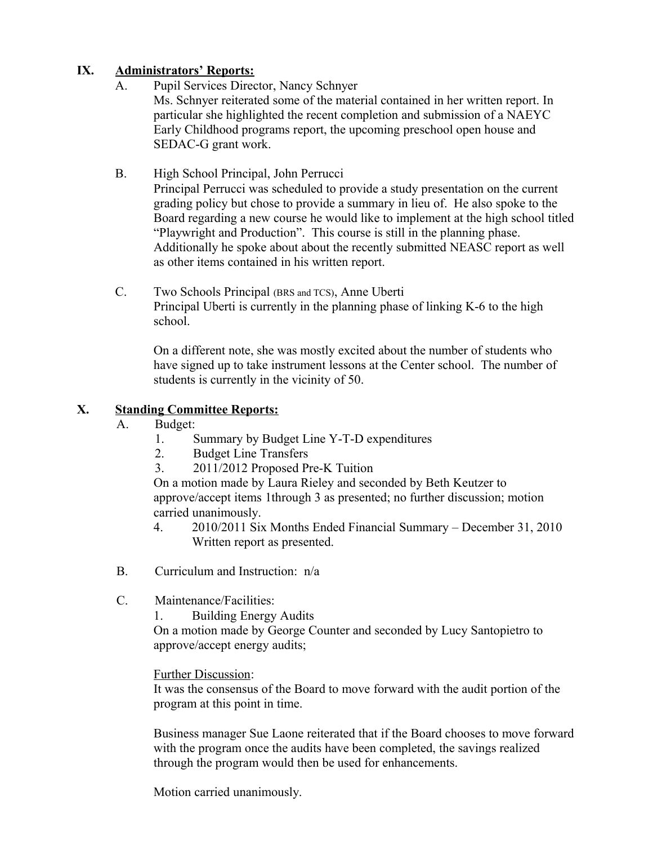## **IX. Administrators' Reports:**

- A. Pupil Services Director, Nancy Schnyer
	- Ms. Schnyer reiterated some of the material contained in her written report. In particular she highlighted the recent completion and submission of a NAEYC Early Childhood programs report, the upcoming preschool open house and SEDAC-G grant work.

## B. High School Principal, John Perrucci

Principal Perrucci was scheduled to provide a study presentation on the current grading policy but chose to provide a summary in lieu of. He also spoke to the Board regarding a new course he would like to implement at the high school titled "Playwright and Production". This course is still in the planning phase. Additionally he spoke about about the recently submitted NEASC report as well as other items contained in his written report.

C. Two Schools Principal (BRS and TCS), Anne Uberti Principal Uberti is currently in the planning phase of linking K-6 to the high school.

On a different note, she was mostly excited about the number of students who have signed up to take instrument lessons at the Center school. The number of students is currently in the vicinity of 50.

## **X. Standing Committee Reports:**

- A. Budget:
	- 1. Summary by Budget Line Y-T-D expenditures
	- 2. Budget Line Transfers
	- 3. 2011/2012 Proposed Pre-K Tuition

On a motion made by Laura Rieley and seconded by Beth Keutzer to approve/accept items 1through 3 as presented; no further discussion; motion carried unanimously.

- 4. 2010/2011 Six Months Ended Financial Summary December 31, 2010 Written report as presented.
- B. Curriculum and Instruction: n/a
- C. Maintenance/Facilities:
	- 1. Building Energy Audits

On a motion made by George Counter and seconded by Lucy Santopietro to approve/accept energy audits;

## Further Discussion:

It was the consensus of the Board to move forward with the audit portion of the program at this point in time.

Business manager Sue Laone reiterated that if the Board chooses to move forward with the program once the audits have been completed, the savings realized through the program would then be used for enhancements.

Motion carried unanimously.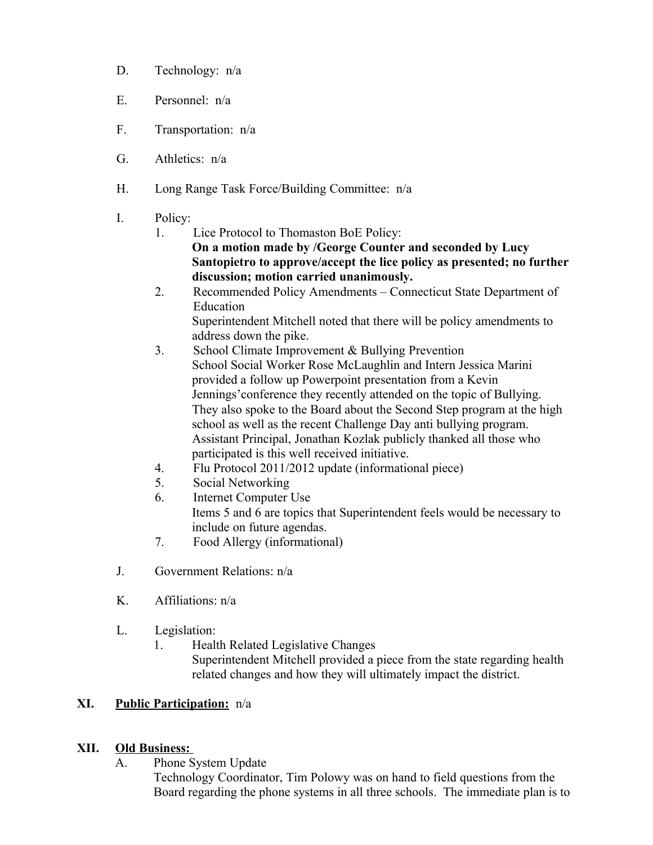- D. Technology:  $n/a$
- E. Personnel: n/a
- F. Transportation: n/a
- G. Athletics: n/a
- H. Long Range Task Force/Building Committee: n/a
- I. Policy:
	- 1. Lice Protocol to Thomaston BoE Policy:
		- **On a motion made by /George Counter and seconded by Lucy Santopietro to approve/accept the lice policy as presented; no further discussion; motion carried unanimously.**
	- 2. Recommended Policy Amendments Connecticut State Department of Education Superintendent Mitchell noted that there will be policy amendments to address down the pike.
	- 3. School Climate Improvement & Bullying Prevention School Social Worker Rose McLaughlin and Intern Jessica Marini provided a follow up Powerpoint presentation from a Kevin Jennings'conference they recently attended on the topic of Bullying. They also spoke to the Board about the Second Step program at the high school as well as the recent Challenge Day anti bullying program. Assistant Principal, Jonathan Kozlak publicly thanked all those who participated is this well received initiative.
	- 4. Flu Protocol 2011/2012 update (informational piece)
	- 5. Social Networking
	- 6. Internet Computer Use Items 5 and 6 are topics that Superintendent feels would be necessary to include on future agendas.
	- 7. Food Allergy (informational)
- J. Government Relations: n/a
- K. Affiliations: n/a
- L. Legislation:
	- 1. Health Related Legislative Changes

Superintendent Mitchell provided a piece from the state regarding health related changes and how they will ultimately impact the district.

# **XI. Public Participation:** n/a

## **XII. Old Business:**

A. Phone System Update

Technology Coordinator, Tim Polowy was on hand to field questions from the Board regarding the phone systems in all three schools. The immediate plan is to